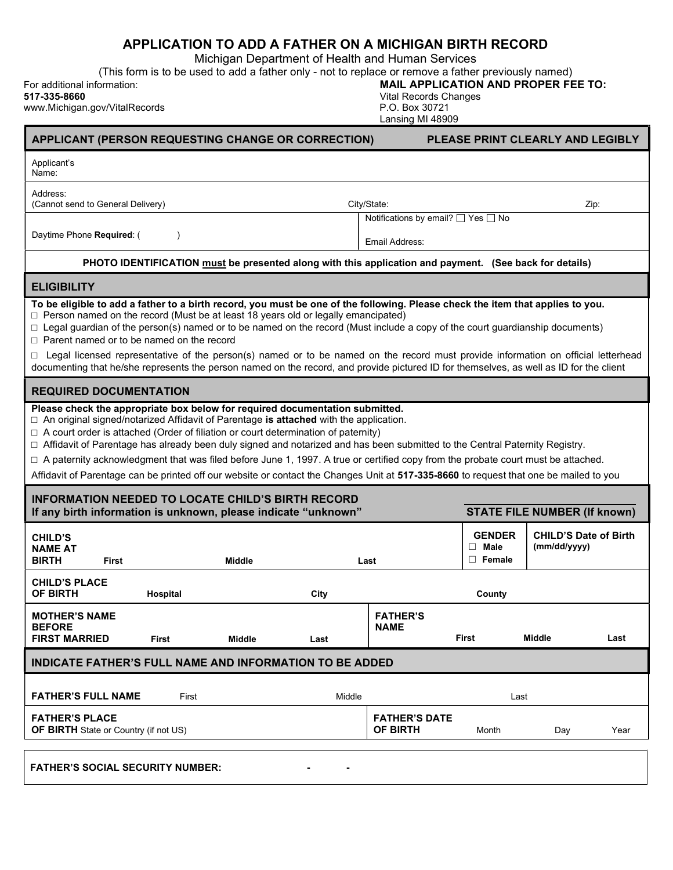## APPLICATION TO ADD A FATHER ON A MICHIGAN BIRTH RECORD

Michigan Department of Health and Human Services

(This form is to be used to add a father only - not to replace or remove a father previously named)

| For additional information: | <b>MAIL APPLICATION AND PROPER FEE TO:</b>                                 |
|-----------------------------|----------------------------------------------------------------------------|
| 517-335-8660                | Vital Records Changes                                                      |
| $\mu$                       | $\bigcap_{n=1}^{\infty}$ $\bigcap_{n=1}^{\infty}$ $\bigcap_{n=1}^{\infty}$ |

| 517-335-8660<br>www.Michigan.gov/VitalRecords                                                                                                                                                                                                                                                                                                                                                                                                                                                                                                                                                                                                                                                    |           |                                                                                                        | <b>Vital Records Changes</b><br>P.O. Box 30721<br>Lansing MI 48909 |                                               |                                              |      |  |  |  |
|--------------------------------------------------------------------------------------------------------------------------------------------------------------------------------------------------------------------------------------------------------------------------------------------------------------------------------------------------------------------------------------------------------------------------------------------------------------------------------------------------------------------------------------------------------------------------------------------------------------------------------------------------------------------------------------------------|-----------|--------------------------------------------------------------------------------------------------------|--------------------------------------------------------------------|-----------------------------------------------|----------------------------------------------|------|--|--|--|
| APPLICANT (PERSON REQUESTING CHANGE OR CORRECTION)                                                                                                                                                                                                                                                                                                                                                                                                                                                                                                                                                                                                                                               |           |                                                                                                        |                                                                    | PLEASE PRINT CLEARLY AND LEGIBLY              |                                              |      |  |  |  |
| Applicant's<br>Name:                                                                                                                                                                                                                                                                                                                                                                                                                                                                                                                                                                                                                                                                             |           |                                                                                                        |                                                                    |                                               |                                              |      |  |  |  |
| Address:<br>(Cannot send to General Delivery)                                                                                                                                                                                                                                                                                                                                                                                                                                                                                                                                                                                                                                                    |           |                                                                                                        | City/State:                                                        |                                               |                                              | Zip: |  |  |  |
| Daytime Phone Required: (                                                                                                                                                                                                                                                                                                                                                                                                                                                                                                                                                                                                                                                                        | $\lambda$ |                                                                                                        | Notifications by email? □ Yes □ No<br>Email Address:               |                                               |                                              |      |  |  |  |
|                                                                                                                                                                                                                                                                                                                                                                                                                                                                                                                                                                                                                                                                                                  |           | PHOTO IDENTIFICATION must be presented along with this application and payment. (See back for details) |                                                                    |                                               |                                              |      |  |  |  |
| <b>ELIGIBILITY</b>                                                                                                                                                                                                                                                                                                                                                                                                                                                                                                                                                                                                                                                                               |           |                                                                                                        |                                                                    |                                               |                                              |      |  |  |  |
| To be eligible to add a father to a birth record, you must be one of the following. Please check the item that applies to you.<br>$\Box$ Person named on the record (Must be at least 18 years old or legally emancipated)<br>□ Legal guardian of the person(s) named or to be named on the record (Must include a copy of the court guardianship documents)<br>$\Box$ Parent named or to be named on the record<br>Legal licensed representative of the person(s) named or to be named on the record must provide information on official letterhead<br>documenting that he/she represents the person named on the record, and provide pictured ID for themselves, as well as ID for the client |           |                                                                                                        |                                                                    |                                               |                                              |      |  |  |  |
| <b>REQUIRED DOCUMENTATION</b>                                                                                                                                                                                                                                                                                                                                                                                                                                                                                                                                                                                                                                                                    |           |                                                                                                        |                                                                    |                                               |                                              |      |  |  |  |
| □ An original signed/notarized Affidavit of Parentage is attached with the application.<br>$\Box$ A court order is attached (Order of filiation or court determination of paternity)<br>□ Affidavit of Parentage has already been duly signed and notarized and has been submitted to the Central Paternity Registry.<br>□ A paternity acknowledgment that was filed before June 1, 1997. A true or certified copy from the probate court must be attached.<br>Affidavit of Parentage can be printed off our website or contact the Changes Unit at 517-335-8660 to request that one be mailed to you                                                                                            |           |                                                                                                        |                                                                    |                                               |                                              |      |  |  |  |
| <b>INFORMATION NEEDED TO LOCATE CHILD'S BIRTH RECORD</b><br>If any birth information is unknown, please indicate "unknown"                                                                                                                                                                                                                                                                                                                                                                                                                                                                                                                                                                       |           |                                                                                                        |                                                                    |                                               | <b>STATE FILE NUMBER (If known)</b>          |      |  |  |  |
| <b>CHILD'S</b><br><b>NAME AT</b><br><b>BIRTH</b><br>First                                                                                                                                                                                                                                                                                                                                                                                                                                                                                                                                                                                                                                        | Middle    |                                                                                                        | Last                                                               | <b>GENDER</b><br>$\Box$ Male<br>$\Box$ Female | <b>CHILD'S Date of Birth</b><br>(mm/dd/yyyy) |      |  |  |  |
| <b>CHILD'S PLACE</b><br>OF BIRTH<br>Hospital                                                                                                                                                                                                                                                                                                                                                                                                                                                                                                                                                                                                                                                     |           | City                                                                                                   |                                                                    | County                                        |                                              |      |  |  |  |
| <b>MOTHER'S NAME</b><br><b>BEFORE</b><br><b>FIRST MARRIED</b><br>First                                                                                                                                                                                                                                                                                                                                                                                                                                                                                                                                                                                                                           | Middle    | Last                                                                                                   | <b>FATHER'S</b><br><b>NAME</b>                                     | First                                         | Middle                                       | Last |  |  |  |
| <b>INDICATE FATHER'S FULL NAME AND INFORMATION TO BE ADDED</b>                                                                                                                                                                                                                                                                                                                                                                                                                                                                                                                                                                                                                                   |           |                                                                                                        |                                                                    |                                               |                                              |      |  |  |  |
| <b>FATHER'S FULL NAME</b>                                                                                                                                                                                                                                                                                                                                                                                                                                                                                                                                                                                                                                                                        | First     | Middle                                                                                                 |                                                                    | Last                                          |                                              |      |  |  |  |
| <b>FATHER'S PLACE</b><br>OF BIRTH State or Country (if not US)                                                                                                                                                                                                                                                                                                                                                                                                                                                                                                                                                                                                                                   |           |                                                                                                        | <b>FATHER'S DATE</b><br>OF BIRTH                                   | Month                                         | Day                                          | Year |  |  |  |
| <b>FATHER'S SOCIAL SECURITY NUMBER:</b>                                                                                                                                                                                                                                                                                                                                                                                                                                                                                                                                                                                                                                                          |           |                                                                                                        |                                                                    |                                               |                                              |      |  |  |  |